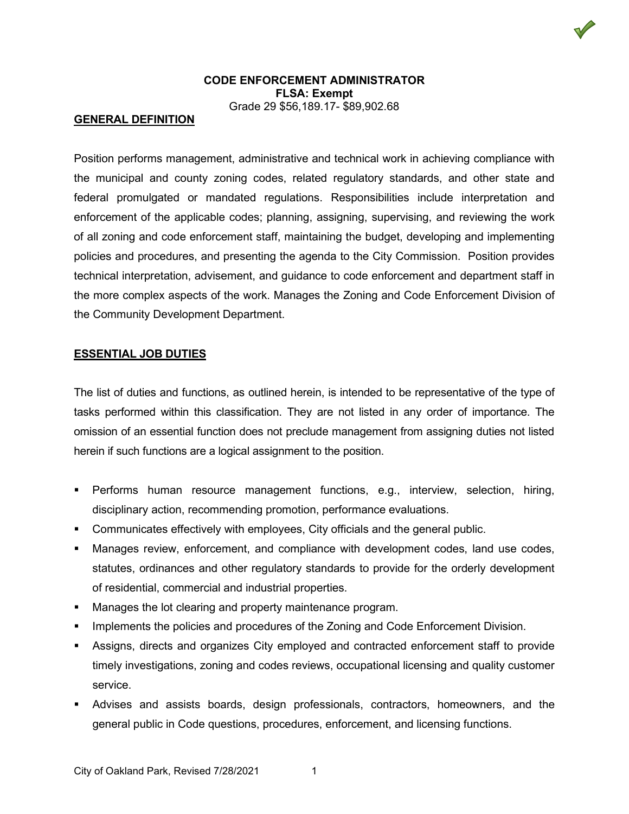# **CODE ENFORCEMENT ADMINISTRATOR FLSA: Exempt** Grade 29 \$56,189.17- \$89,902.68

#### **GENERAL DEFINITION**

Position performs management, administrative and technical work in achieving compliance with the municipal and county zoning codes, related regulatory standards, and other state and federal promulgated or mandated regulations. Responsibilities include interpretation and enforcement of the applicable codes; planning, assigning, supervising, and reviewing the work of all zoning and code enforcement staff, maintaining the budget, developing and implementing policies and procedures, and presenting the agenda to the City Commission. Position provides technical interpretation, advisement, and guidance to code enforcement and department staff in the more complex aspects of the work. Manages the Zoning and Code Enforcement Division of the Community Development Department.

## **ESSENTIAL JOB DUTIES**

The list of duties and functions, as outlined herein, is intended to be representative of the type of tasks performed within this classification. They are not listed in any order of importance. The omission of an essential function does not preclude management from assigning duties not listed herein if such functions are a logical assignment to the position.

- Performs human resource management functions, e.g., interview, selection, hiring, disciplinary action, recommending promotion, performance evaluations.
- Communicates effectively with employees, City officials and the general public.
- Manages review, enforcement, and compliance with development codes, land use codes, statutes, ordinances and other regulatory standards to provide for the orderly development of residential, commercial and industrial properties.
- **Manages the lot clearing and property maintenance program.**
- Implements the policies and procedures of the Zoning and Code Enforcement Division.
- Assigns, directs and organizes City employed and contracted enforcement staff to provide timely investigations, zoning and codes reviews, occupational licensing and quality customer service.
- Advises and assists boards, design professionals, contractors, homeowners, and the general public in Code questions, procedures, enforcement, and licensing functions.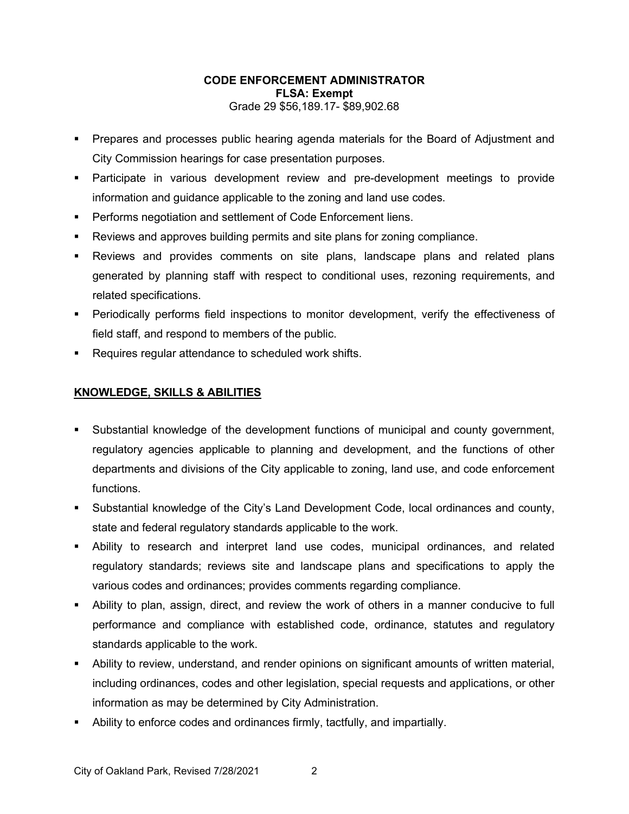# **CODE ENFORCEMENT ADMINISTRATOR FLSA: Exempt** Grade 29 \$56,189.17- \$89,902.68

- **Prepares and processes public hearing agenda materials for the Board of Adjustment and** City Commission hearings for case presentation purposes.
- Participate in various development review and pre-development meetings to provide information and guidance applicable to the zoning and land use codes.
- **Performs negotiation and settlement of Code Enforcement liens.**
- Reviews and approves building permits and site plans for zoning compliance.
- Reviews and provides comments on site plans, landscape plans and related plans generated by planning staff with respect to conditional uses, rezoning requirements, and related specifications.
- Periodically performs field inspections to monitor development, verify the effectiveness of field staff, and respond to members of the public.
- **Requires regular attendance to scheduled work shifts.**

# **KNOWLEDGE, SKILLS & ABILITIES**

- Substantial knowledge of the development functions of municipal and county government, regulatory agencies applicable to planning and development, and the functions of other departments and divisions of the City applicable to zoning, land use, and code enforcement functions.
- Substantial knowledge of the City's Land Development Code, local ordinances and county, state and federal regulatory standards applicable to the work.
- Ability to research and interpret land use codes, municipal ordinances, and related regulatory standards; reviews site and landscape plans and specifications to apply the various codes and ordinances; provides comments regarding compliance.
- Ability to plan, assign, direct, and review the work of others in a manner conducive to full performance and compliance with established code, ordinance, statutes and regulatory standards applicable to the work.
- Ability to review, understand, and render opinions on significant amounts of written material, including ordinances, codes and other legislation, special requests and applications, or other information as may be determined by City Administration.
- Ability to enforce codes and ordinances firmly, tactfully, and impartially.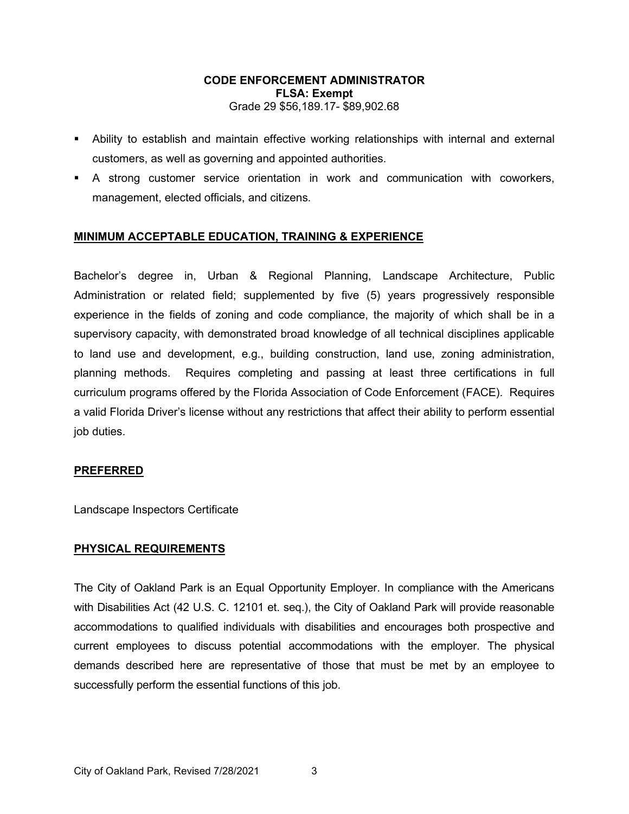## **CODE ENFORCEMENT ADMINISTRATOR FLSA: Exempt** Grade 29 \$56,189.17- \$89,902.68

- Ability to establish and maintain effective working relationships with internal and external customers, as well as governing and appointed authorities.
- A strong customer service orientation in work and communication with coworkers, management, elected officials, and citizens.

# **MINIMUM ACCEPTABLE EDUCATION, TRAINING & EXPERIENCE**

Bachelor's degree in, Urban & Regional Planning, Landscape Architecture, Public Administration or related field; supplemented by five (5) years progressively responsible experience in the fields of zoning and code compliance, the majority of which shall be in a supervisory capacity, with demonstrated broad knowledge of all technical disciplines applicable to land use and development, e.g., building construction, land use, zoning administration, planning methods. Requires completing and passing at least three certifications in full curriculum programs offered by the Florida Association of Code Enforcement (FACE). Requires a valid Florida Driver's license without any restrictions that affect their ability to perform essential job duties.

## **PREFERRED**

Landscape Inspectors Certificate

## **PHYSICAL REQUIREMENTS**

The City of Oakland Park is an Equal Opportunity Employer. In compliance with the Americans with Disabilities Act (42 U.S. C. 12101 et. seq.), the City of Oakland Park will provide reasonable accommodations to qualified individuals with disabilities and encourages both prospective and current employees to discuss potential accommodations with the employer. The physical demands described here are representative of those that must be met by an employee to successfully perform the essential functions of this job.